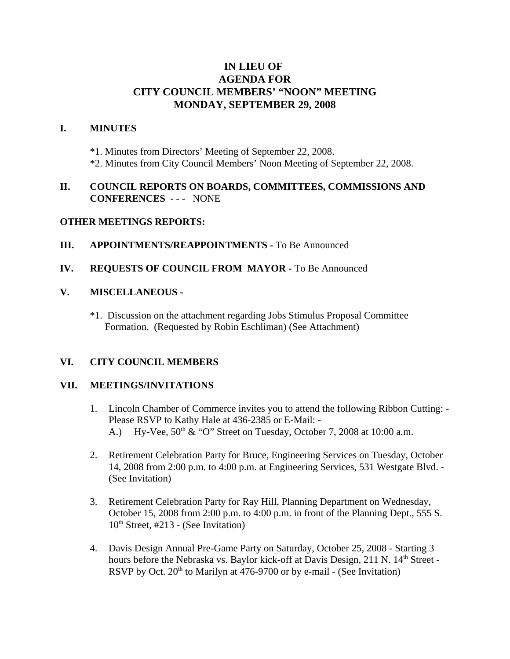# **IN LIEU OF AGENDA FOR CITY COUNCIL MEMBERS' "NOON" MEETING MONDAY, SEPTEMBER 29, 2008**

### **I. MINUTES**

\*1. Minutes from Directors' Meeting of September 22, 2008. \*2. Minutes from City Council Members' Noon Meeting of September 22, 2008.

### **II. COUNCIL REPORTS ON BOARDS, COMMITTEES, COMMISSIONS AND CONFERENCES** - - - NONE

#### **OTHER MEETINGS REPORTS:**

**III. APPOINTMENTS/REAPPOINTMENTS - To Be Announced** 

### **IV. REQUESTS OF COUNCIL FROM MAYOR -** To Be Announced

#### **V. MISCELLANEOUS -**

\*1. Discussion on the attachment regarding Jobs Stimulus Proposal Committee Formation. (Requested by Robin Eschliman) (See Attachment)

#### **VI. CITY COUNCIL MEMBERS**

#### **VII. MEETINGS/INVITATIONS**

- 1. Lincoln Chamber of Commerce invites you to attend the following Ribbon Cutting: Please RSVP to Kathy Hale at 436-2385 or E-Mail: - A.) Hy-Vee,  $50<sup>th</sup> \& ^{\circ}$  O" Street on Tuesday, October 7, 2008 at 10:00 a.m.
- 2. Retirement Celebration Party for Bruce, Engineering Services on Tuesday, October 14, 2008 from 2:00 p.m. to 4:00 p.m. at Engineering Services, 531 Westgate Blvd. - (See Invitation)
- 3. Retirement Celebration Party for Ray Hill, Planning Department on Wednesday, October 15, 2008 from 2:00 p.m. to 4:00 p.m. in front of the Planning Dept., 555 S.  $10<sup>th</sup>$  Street, #213 - (See Invitation)
- 4. Davis Design Annual Pre-Game Party on Saturday, October 25, 2008 Starting 3 hours before the Nebraska vs. Baylor kick-off at Davis Design, 211 N. 14<sup>th</sup> Street -RSVP by Oct.  $20<sup>th</sup>$  to Marilyn at 476-9700 or by e-mail - (See Invitation)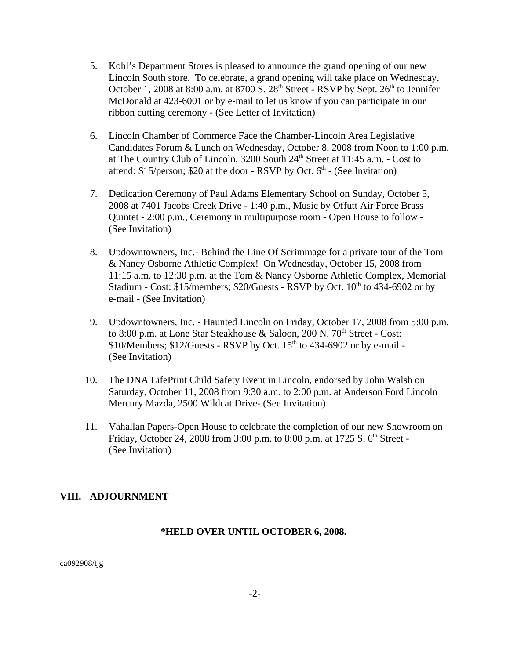- 5. Kohl's Department Stores is pleased to announce the grand opening of our new Lincoln South store. To celebrate, a grand opening will take place on Wednesday, October 1, 2008 at 8:00 a.m. at 8700 S.  $28<sup>th</sup>$  Street - RSVP by Sept.  $26<sup>th</sup>$  to Jennifer McDonald at 423-6001 or by e-mail to let us know if you can participate in our ribbon cutting ceremony - (See Letter of Invitation)
- 6. Lincoln Chamber of Commerce Face the Chamber-Lincoln Area Legislative Candidates Forum & Lunch on Wednesday, October 8, 2008 from Noon to 1:00 p.m. at The Country Club of Lincoln, 3200 South 24<sup>th</sup> Street at 11:45 a.m. - Cost to attend:  $$15/person: $20$  at the door - RSVP by Oct.  $6<sup>th</sup>$  - (See Invitation)
- 7. Dedication Ceremony of Paul Adams Elementary School on Sunday, October 5, 2008 at 7401 Jacobs Creek Drive - 1:40 p.m., Music by Offutt Air Force Brass Quintet - 2:00 p.m., Ceremony in multipurpose room - Open House to follow - (See Invitation)
- 8. Updowntowners, Inc.- Behind the Line Of Scrimmage for a private tour of the Tom & Nancy Osborne Athletic Complex! On Wednesday, October 15, 2008 from 11:15 a.m. to 12:30 p.m. at the Tom & Nancy Osborne Athletic Complex, Memorial Stadium - Cost:  $$15/m$ embers;  $$20/G$ uests - RSVP by Oct.  $10<sup>th</sup>$  to 434-6902 or by e-mail - (See Invitation)
- 9. Updowntowners, Inc. Haunted Lincoln on Friday, October 17, 2008 from 5:00 p.m. to 8:00 p.m. at Lone Star Steakhouse & Saloon, 200 N.  $70<sup>th</sup>$  Street - Cost:  $$10/M$ embers;  $$12/G$ uests - RSVP by Oct.  $15<sup>th</sup>$  to 434-6902 or by e-mail -(See Invitation)
- 10. The DNA LifePrint Child Safety Event in Lincoln, endorsed by John Walsh on Saturday, October 11, 2008 from 9:30 a.m. to 2:00 p.m. at Anderson Ford Lincoln Mercury Mazda, 2500 Wildcat Drive- (See Invitation)
- 11. Vahallan Papers-Open House to celebrate the completion of our new Showroom on Friday, October 24, 2008 from 3:00 p.m. to 8:00 p.m. at 1725 S.  $6<sup>th</sup>$  Street -(See Invitation)

# **VIII. ADJOURNMENT**

# **\*HELD OVER UNTIL OCTOBER 6, 2008.**

ca092908/tjg